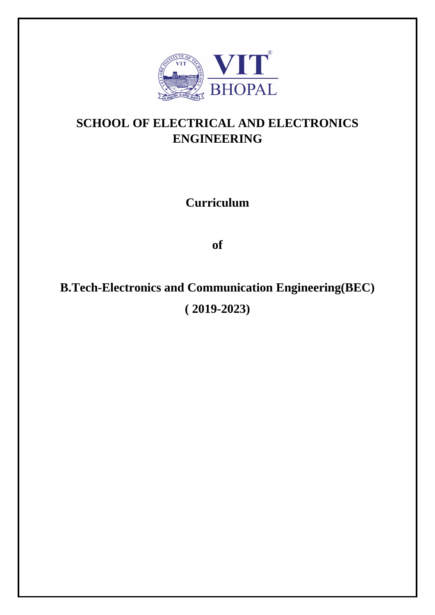

## **SCHOOL OF ELECTRICAL AND ELECTRONICS ENGINEERING**

**Curriculum**

**of** 

## **B.Tech-Electronics and Communication Engineering(BEC) ( 2019-2023)**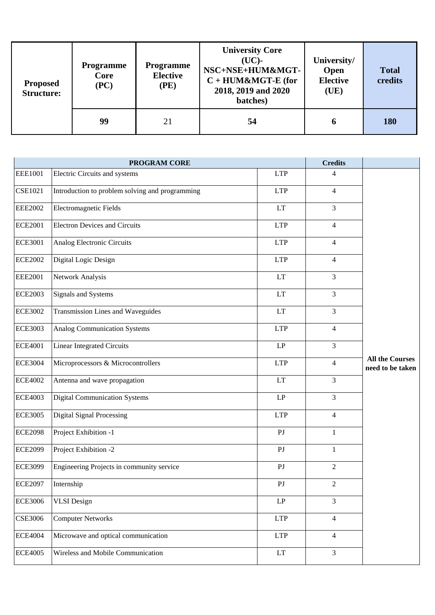| <b>Proposed</b><br><b>Structure:</b> | <b>Programme</b><br>Core<br>(PC) | <b>Programme</b><br><b>Elective</b><br>(PE) | <b>University Core</b><br>$(UC)$ -<br>NSC+NSE+HUM&MGT-<br>$C + HUM\&MGT-E$ (for<br>2018, 2019 and 2020<br>batches) | University/<br>Open<br><b>Elective</b><br>(UE) | <b>Total</b><br>credits |
|--------------------------------------|----------------------------------|---------------------------------------------|--------------------------------------------------------------------------------------------------------------------|------------------------------------------------|-------------------------|
|                                      | 99                               | 21                                          | 54                                                                                                                 | 6                                              | 180                     |

|                | PROGRAM CORE                                    |                            | <b>Credits</b> |                                            |
|----------------|-------------------------------------------------|----------------------------|----------------|--------------------------------------------|
| <b>EEE1001</b> | Electric Circuits and systems                   | <b>LTP</b>                 | 4              |                                            |
| <b>CSE1021</b> | Introduction to problem solving and programming | <b>LTP</b>                 | 4              |                                            |
| <b>EEE2002</b> | <b>Electromagnetic Fields</b>                   | LT                         | 3              |                                            |
| <b>ECE2001</b> | <b>Electron Devices and Circuits</b>            | <b>LTP</b>                 | $\overline{4}$ |                                            |
| <b>ECE3001</b> | Analog Electronic Circuits                      | <b>LTP</b>                 | 4              |                                            |
| <b>ECE2002</b> | Digital Logic Design                            | <b>LTP</b>                 | $\overline{4}$ |                                            |
| <b>EEE2001</b> | Network Analysis                                | LT                         | 3              |                                            |
| <b>ECE2003</b> | <b>Signals and Systems</b>                      | LT                         | $\overline{3}$ |                                            |
| <b>ECE3002</b> | Transmission Lines and Waveguides               | LT                         | 3              |                                            |
| <b>ECE3003</b> | Analog Communication Systems                    | <b>LTP</b>                 | 4              |                                            |
| <b>ECE4001</b> | <b>Linear Integrated Circuits</b>               | LP                         | 3              |                                            |
| <b>ECE3004</b> | Microprocessors & Microcontrollers              | <b>LTP</b>                 | 4              | <b>All the Courses</b><br>need to be taken |
| <b>ECE4002</b> | Antenna and wave propagation                    | LT                         | 3              |                                            |
| <b>ECE4003</b> | <b>Digital Communication Systems</b>            | $\mathbf{L}\mathbf{P}$     | 3              |                                            |
| <b>ECE3005</b> | <b>Digital Signal Processing</b>                | <b>LTP</b>                 | $\overline{4}$ |                                            |
| <b>ECE2098</b> | Project Exhibition -1                           | P <sub>J</sub>             | 1              |                                            |
| <b>ECE2099</b> | Project Exhibition -2                           | PJ                         | 1              |                                            |
| <b>ECE3099</b> | Engineering Projects in community service       | P <sub>J</sub>             | $\overline{c}$ |                                            |
| <b>ECE2097</b> | Internship                                      | PI                         | 2              |                                            |
| <b>ECE3006</b> | <b>VLSI</b> Design                              | $\mathrm{L}\mathrm{P}$     | $\overline{3}$ |                                            |
| <b>CSE3006</b> | <b>Computer Networks</b>                        | <b>LTP</b>                 | $\overline{4}$ |                                            |
| <b>ECE4004</b> | Microwave and optical communication             | <b>LTP</b>                 | $\overline{4}$ |                                            |
| <b>ECE4005</b> | Wireless and Mobile Communication               | $\mathop{\rm LT}\nolimits$ | 3              |                                            |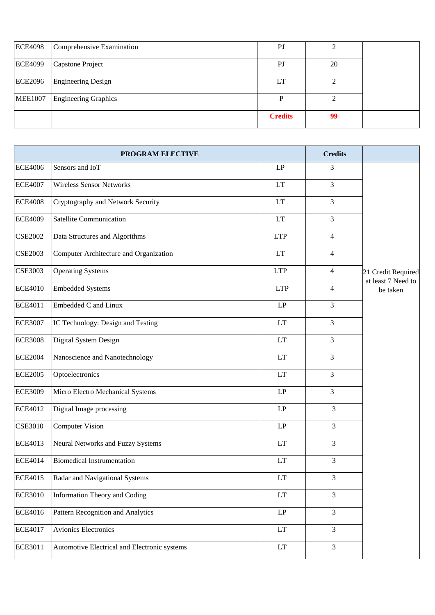| <b>ECE4098</b> | Comprehensive Examination | PJ             |    |  |
|----------------|---------------------------|----------------|----|--|
| <b>ECE4099</b> | Capstone Project          | PJ             | 20 |  |
| <b>ECE2096</b> | <b>Engineering Design</b> | LT             |    |  |
| <b>MEE1007</b> | Engineering Graphics      |                |    |  |
|                |                           | <b>Credits</b> | 99 |  |

| <b>PROGRAM ELECTIVE</b>                                        |  | <b>Credits</b>             |                |                                          |
|----------------------------------------------------------------|--|----------------------------|----------------|------------------------------------------|
| <b>ECE4006</b><br>Sensors and IoT                              |  | LP                         | 3              |                                          |
| <b>ECE4007</b><br><b>Wireless Sensor Networks</b>              |  | LT                         | 3              |                                          |
| <b>ECE4008</b><br>Cryptography and Network Security            |  | LT                         | 3              |                                          |
| <b>Satellite Communication</b><br><b>ECE4009</b>               |  | LT                         | 3              |                                          |
| <b>CSE2002</b><br>Data Structures and Algorithms               |  | <b>LTP</b>                 | $\overline{4}$ |                                          |
| <b>CSE2003</b><br>Computer Architecture and Organization       |  | LT                         | $\overline{4}$ |                                          |
| <b>Operating Systems</b><br><b>CSE3003</b>                     |  | <b>LTP</b>                 | $\overline{4}$ | 21 Credit Required<br>at least 7 Need to |
| <b>Embedded Systems</b><br><b>ECE4010</b>                      |  | <b>LTP</b>                 | $\overline{4}$ | be taken                                 |
| Embedded C and Linux<br><b>ECE4011</b>                         |  | LP                         | 3              |                                          |
| IC Technology: Design and Testing<br><b>ECE3007</b>            |  | <b>LT</b>                  | 3              |                                          |
| Digital System Design<br><b>ECE3008</b>                        |  | <b>LT</b>                  | 3              |                                          |
| <b>ECE2004</b><br>Nanoscience and Nanotechnology               |  | <b>LT</b>                  | 3              |                                          |
| <b>ECE2005</b><br>Optoelectronics                              |  | LT                         | 3              |                                          |
| <b>ECE3009</b><br>Micro Electro Mechanical Systems             |  | LP                         | 3              |                                          |
| <b>ECE4012</b><br>Digital Image processing                     |  | LP                         | 3              |                                          |
| <b>CSE3010</b><br><b>Computer Vision</b>                       |  | LP                         | 3              |                                          |
| <b>ECE4013</b><br>Neural Networks and Fuzzy Systems            |  | LT                         | $\overline{3}$ |                                          |
| <b>ECE4014</b><br><b>Biomedical Instrumentation</b>            |  | LT                         | 3              |                                          |
| <b>ECE4015</b><br>Radar and Navigational Systems               |  | LT                         | 3              |                                          |
| <b>ECE3010</b><br>Information Theory and Coding                |  | $\mathop{\rm LT}\nolimits$ | 3              |                                          |
| <b>ECE4016</b><br>Pattern Recognition and Analytics            |  | $\mathrm{L}\mathrm{P}$     | $\overline{3}$ |                                          |
| Avionics Electronics<br><b>ECE4017</b>                         |  | LT                         | 3              |                                          |
| <b>ECE3011</b><br>Automotive Electrical and Electronic systems |  | $\mathop{\rm LT}\nolimits$ | $\overline{3}$ |                                          |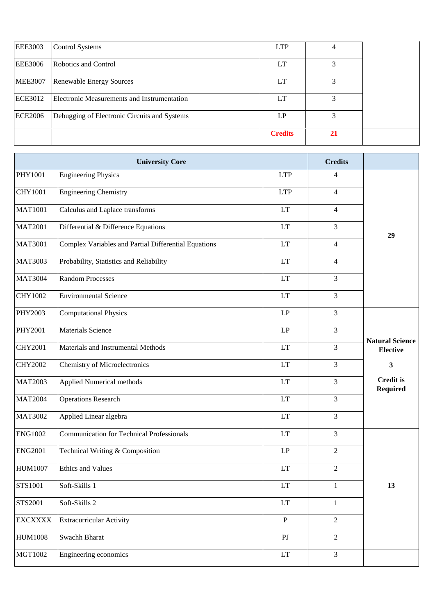| <b>EEE3003</b> | Control Systems                              | <b>LTP</b>     |           |
|----------------|----------------------------------------------|----------------|-----------|
| <b>EEE3006</b> | Robotics and Control                         | LT             |           |
| <b>MEE3007</b> | Renewable Energy Sources                     | LT             |           |
| ECE3012        | Electronic Measurements and Instrumentation  | LT             |           |
| <b>ECE2006</b> | Debugging of Electronic Circuits and Systems | LP.            |           |
|                |                                              | <b>Credits</b> | <b>21</b> |

| <b>University Core</b> |                                                      |                            | <b>Credits</b>   |                                           |
|------------------------|------------------------------------------------------|----------------------------|------------------|-------------------------------------------|
| PHY1001                | <b>Engineering Physics</b>                           | <b>LTP</b>                 | 4                |                                           |
| <b>CHY1001</b>         | <b>Engineering Chemistry</b>                         | <b>LTP</b>                 | 4                |                                           |
| <b>MAT1001</b>         | Calculus and Laplace transforms                      | <b>LT</b>                  | 4                |                                           |
| <b>MAT2001</b>         | Differential & Difference Equations                  | LT                         | 3                | 29                                        |
| <b>MAT3001</b>         | Complex Variables and Partial Differential Equations | LT                         | 4                |                                           |
| <b>MAT3003</b>         | Probability, Statistics and Reliability              | LT                         | 4                |                                           |
| <b>MAT3004</b>         | <b>Random Processes</b>                              | LT                         | 3                |                                           |
| CHY1002                | <b>Environmental Science</b>                         | <b>LT</b>                  | 3                |                                           |
| PHY2003                | <b>Computational Physics</b>                         | LP                         | 3                |                                           |
| PHY2001                | <b>Materials Science</b>                             | LP                         | 3                |                                           |
| <b>CHY2001</b>         | Materials and Instrumental Methods                   | LT                         | 3                | <b>Natural Science</b><br><b>Elective</b> |
| <b>CHY2002</b>         | Chemistry of Microelectronics                        | LT                         | 3                | 3                                         |
| <b>MAT2003</b>         | Applied Numerical methods                            | <b>LT</b>                  | 3                | <b>Credit is</b><br><b>Required</b>       |
| <b>MAT2004</b>         | <b>Operations Research</b>                           | <b>LT</b>                  | 3                |                                           |
| <b>MAT3002</b>         | Applied Linear algebra                               | LT                         | 3                |                                           |
| <b>ENG1002</b>         | <b>Communication for Technical Professionals</b>     | <b>LT</b>                  | 3                |                                           |
| <b>ENG2001</b>         | Technical Writing & Composition                      | LP                         | $\boldsymbol{2}$ |                                           |
| HUM1007                | <b>Ethics and Values</b>                             | LT                         | $\overline{2}$   |                                           |
| STS1001                | Soft-Skills 1                                        | $\mathop{\rm LT}\nolimits$ | $\mathbf{1}$     | 13                                        |
| STS2001                | Soft-Skills 2                                        | LT                         | $\mathbf{1}$     |                                           |
| <b>EXCXXXX</b>         | <b>Extracurricular Activity</b>                      | $\mathbf P$                | $\overline{c}$   |                                           |
| <b>HUM1008</b>         | Swachh Bharat                                        | $\mathop{\rm PJ}$          | $\overline{2}$   |                                           |
| MGT1002                | Engineering economics                                | $\mathop{\rm LT}\nolimits$ | 3                |                                           |